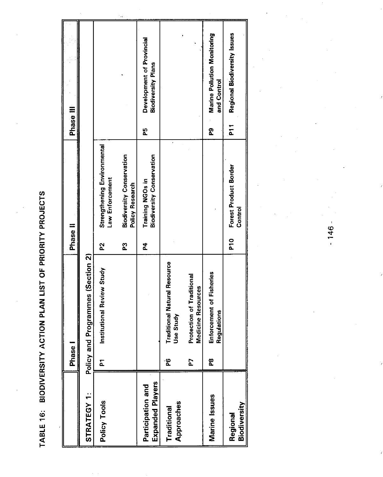TABLE 16: BIODIVERSITY ACTION PLAN LIST OF PRIORITY PROJECTS TABLE 16: BIODIVERSlTY ACTION PLAN LIST OF PRIORITY PROJECTS

|                                       | Phase <sup>1</sup> |                                                  | Phase II        |                                                            | Phase III      |                                                   |  |
|---------------------------------------|--------------------|--------------------------------------------------|-----------------|------------------------------------------------------------|----------------|---------------------------------------------------|--|
| STRATEGY 1:                           |                    | s (Section 2)<br>Policy and Programme            |                 |                                                            |                |                                                   |  |
| Policy Tools                          | <u>.</u>           | view Study<br><b>Institutional Rev</b>           | 5Z              | Strengthening Environmental<br>Law Enforcement             |                |                                                   |  |
|                                       |                    |                                                  | ဥ               | <b>Biodiversity Conservation</b><br><b>Policy Research</b> |                |                                                   |  |
| Expanded Players<br>Participation and |                    |                                                  | ፯               | Biodiversity Conservation<br><b>Training NGOs in</b>       | 54             | Development of Provincial<br>Biodiversity Plans   |  |
| Approaches<br>Traditional             | $\mathbf{a}$       | <b>Traditional Natural Resource</b><br>Use Study |                 |                                                            |                |                                                   |  |
|                                       | 5                  | Protection of Traditional<br>Medicine Resources  |                 |                                                            |                |                                                   |  |
| Marine Issues                         | P8                 | Fisheries<br>Enforcement of<br>Regulations       |                 |                                                            | စ္မွာ          | <b>Marine Pollution Monitoring</b><br>and Control |  |
| Biodiversity<br>Regional              |                    |                                                  | P <sub>10</sub> | Forest Product Border<br>Control                           | $\overline{a}$ | Regional Biodiversity Issues                      |  |
|                                       |                    |                                                  |                 |                                                            |                |                                                   |  |

- 146**-**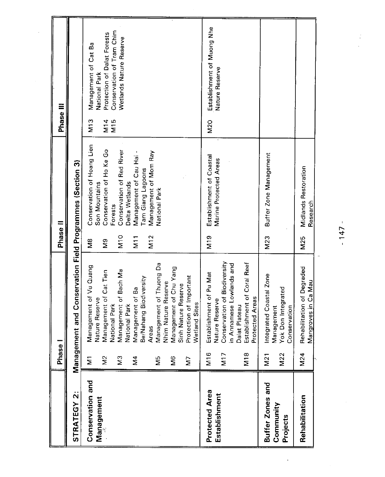|                       | Phase                    |                                                          | Phase II                    |                                                    | Phase III  |                                                      |  |
|-----------------------|--------------------------|----------------------------------------------------------|-----------------------------|----------------------------------------------------|------------|------------------------------------------------------|--|
| STRATEGY 2            |                          | Management and Conservation Field Programmes (Section 3) |                             |                                                    |            |                                                      |  |
| Conservation and      | $\overline{\mathsf{z}}$  | Management of Vu Quang<br>Nature Reserve                 | $\frac{8}{2}$               | Conservation of Hoang Lien<br>Son Mountains        | M13        | Management of Cat Ba                                 |  |
| Management            | $\widetilde{\mathbf{z}}$ | Management of Cat Tien<br>National Park                  | $\frac{9}{2}$               | Conservation of Ho Ke Go<br>Forests                | M14<br>M15 | Protection of Dalat Forests<br>National Park         |  |
|                       | $\tilde{a}$              | Management of Bach Ma<br>National Park                   | D <sub>L</sub> N            | Conservation of Red River<br>Delta Wetlands        |            | Conservation of Tram Chim<br>Wetlands Nature Reserve |  |
|                       | $\overline{M}$           | Management of Ba                                         | $\overline{M}$ <sup>1</sup> | Management of Cau Hai-                             |            |                                                      |  |
|                       |                          | Be/Nahang Biodiversity<br><b>Areas</b>                   | $\frac{2}{5}$               | Management of Mom Ray<br>Tam Giang Lagoons         |            |                                                      |  |
|                       | ŠΜ                       | Management of Thuong Da                                  |                             | National Park                                      |            |                                                      |  |
|                       | SM                       | Management of Chu Yang<br>Nhim Nature Reserve            |                             |                                                    |            |                                                      |  |
|                       | $\overline{\mathsf{z}}$  | Protection of Important<br>Sinh Nature Reserve           |                             |                                                    |            |                                                      |  |
|                       |                          | Wetland Sites                                            |                             |                                                    |            |                                                      |  |
| Protected Area        | M16                      | of Pu Mat<br>Nature Reserve<br>Establishment             | M19                         | Establishment of Coastal<br>Marine Protected Areas | M20        | Establishment of Muong Nhe                           |  |
| Establishment         | $\frac{1}{2}$            | Conservation of Biodiversity                             |                             |                                                    |            | Nature Reserve                                       |  |
|                       |                          | in Annamese Lowlands and<br>Dalat Plateau                |                             |                                                    |            |                                                      |  |
|                       | $\frac{8}{2}$            | of Coral Reef<br>Protected Areas<br>Establishment        |                             |                                                    |            |                                                      |  |
| Buffer Zones and      | M21                      | Integrated Coastal Zone                                  | M23                         | Buffer Zone Management                             |            |                                                      |  |
| Community<br>Projects | <b>M22</b>               | ated<br>Yok Don Integr<br>Conservation<br>Management     |                             |                                                    |            |                                                      |  |
| Rehabilitation        | M24                      | Rehabilitation of Degraded                               | M25                         | <b>Midlands Restoration</b>                        |            |                                                      |  |
|                       |                          | Ca Mau<br>Mangroves in (                                 |                             | Research                                           |            |                                                      |  |

- 147-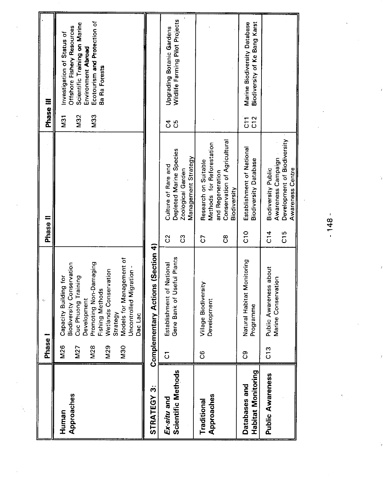|                                     | Phase                                                |                                                                                                                                                                                                                                                        | Phase II             |                                                                                                                       | Phase III                                  |                                                                                                                                                                  |
|-------------------------------------|------------------------------------------------------|--------------------------------------------------------------------------------------------------------------------------------------------------------------------------------------------------------------------------------------------------------|----------------------|-----------------------------------------------------------------------------------------------------------------------|--------------------------------------------|------------------------------------------------------------------------------------------------------------------------------------------------------------------|
| Approaches<br>Human                 | M26<br><b>M28</b><br><b>M29</b><br><b>M30</b><br>M27 | Models for Management of<br>Damaging<br>Biodiversity Conservation<br><b>Uncontrolled Migration</b><br>Wetlands Conservation<br>Capacity Building for<br>Cuc Phuong Training<br>Fishing Methods<br>Promoting Non-<br>Development<br>Strategy<br>Dac Lac |                      |                                                                                                                       | M <sub>32</sub><br>M33<br>$\overline{M}31$ | Ecotourism and Protection of<br>Scientific Training on Marine<br>Offshore Fishery Resources<br>Investigation of Status of<br>Environment Abroad<br>Ba Ra Forests |
| STRATEGY 3:                         |                                                      | ns (Section 4)<br>Complementary Actio                                                                                                                                                                                                                  |                      |                                                                                                                       |                                            |                                                                                                                                                                  |
| Scientific Methods<br>Ex-situ and   | $\overline{\textbf{O}}$                              | seful Plants<br>Establishment of National<br>Gene Bank of U                                                                                                                                                                                            | $\overline{c}$<br>ိပ | Depleted Marine Species<br>Management Strategy<br>Culture of Rare and<br>Zoological Garden                            | 35                                         | Wildlife Farming Pilot Projects<br>Upgrading Botanic Gardens                                                                                                     |
| Approaches<br>Traditional           | 8C                                                   | Village Biodiversity<br>Development                                                                                                                                                                                                                    | $\frac{8}{2}$<br>5   | Conservation of Agricultural<br>Methods for Reforestation<br>Research on Suitable<br>and Regeneration<br>Biodiversity |                                            |                                                                                                                                                                  |
| Habitat Monitoring<br>Databases and | ဥ                                                    | Monitoring<br>Natural Habitat<br>Programme                                                                                                                                                                                                             | $\frac{0}{0}$        | Establishment of National<br>Biodiversity Database                                                                    | C12                                        | Biodiversity of Ke Bang Karst<br>Marine Biodiversity Database                                                                                                    |
| <b>Public Awareness</b>             | C13                                                  | Public Awareness about<br>Marine Conservation                                                                                                                                                                                                          | $\frac{4}{5}$<br>C15 | Development of Biodiversity<br>Awareness Campaign<br>Awareness Centre<br>Biodiversity Public                          |                                            |                                                                                                                                                                  |
|                                     |                                                      |                                                                                                                                                                                                                                                        |                      |                                                                                                                       |                                            |                                                                                                                                                                  |

 $\frac{1}{\sqrt{2}}\left(\frac{1}{2}\right)$ 

 $\hat{\mathcal{A}}$ 

**-** 148 -

 $\frac{1}{2}$ 

ÿ

 $\frac{1}{2}$ 

 $\frac{1}{2}$ 

 $\frac{1}{2} \sum_{i=1}^{n}$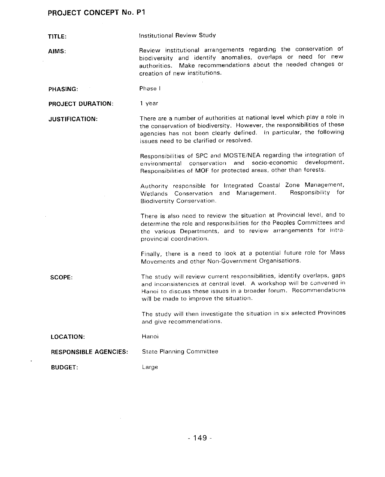TITLE: **Institutional Review Study** 

AIMS: Review institutional arrangements regarding the conservation of biodiversity and identify anomalies**,** overlaps or need for new authorities. Make recommendations about the needed changes or creation of new institutions.

PHASING: Phase I

PROJECT DURATION: 1 year

**JUSTIFICATION:** There are a number of authorities at national level which play a role in the conservation of biodiversity. However, the responsibilities of these agencies has not been clearly defined. In particular**,** the following issues need to be clarified or resolved.

> Responsibilities of SPC and MOSTE**/**NEA regarding the integration of environmental conservation and socio-economic development. Responsibilities of MOF for protected areas**,** other than forests.

> Authority responsible for Integrated Coastal Zone Management,<br>Wetlands, Conservation, and Management, Responsibility for Wetlands Conservation and Management. Biodiversity Conservation.

> There is also need to review the situation at Provincial level, and to determine the role end responsibilities for the Peoples Committees and the various Departments**,** and to review arrangements for intra provincial coordination.

> Finally**,** there is a need to look at a potential future role for Mass Movements and other Non-Government Organisations.

SCOPE: The study will review current responsibilities, identify overlaps**,** gaps and inconsistencies at central level. A workshop will be convened in Hanoi to discuss these issues in a broader forum. Recommendations will be made to improve the situation.

> The study will then investigate the situation in six selected Provinces and give recommendations.

| <b>LOCATION:</b>             | Hanoi                          |
|------------------------------|--------------------------------|
| <b>RESPONSIBLE AGENCIES:</b> | <b>State Planning Committe</b> |
| <b>BUDGET:</b>               | Large                          |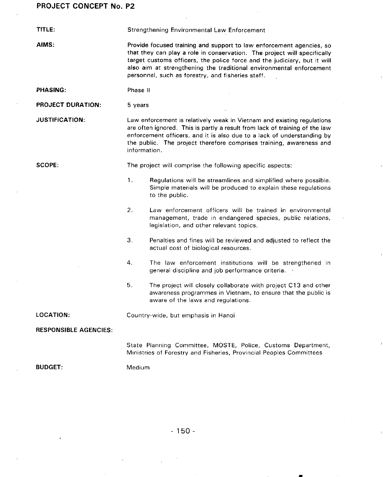| TITLE:                       | Strengthening Environmental Law Enforcement                                                                                                                                                                                                                                                                                                              |  |
|------------------------------|----------------------------------------------------------------------------------------------------------------------------------------------------------------------------------------------------------------------------------------------------------------------------------------------------------------------------------------------------------|--|
| AIMS:                        | Provide focused training and support to law enforcement agencies, so<br>that they can play a role in conservation. The project will specifically<br>target customs officers, the police force and the judiciary, but it will<br>also aim at strengthening the traditional environmental enforcement<br>personnel, such as forestry, and fisheries staff. |  |
| PHASING:                     | Phase II                                                                                                                                                                                                                                                                                                                                                 |  |
| PROJECT DURATION:            | 5 years                                                                                                                                                                                                                                                                                                                                                  |  |
| <b>JUSTIFICATION:</b>        | Law enforcement is relatively weak in Vietnam and existing regulations<br>are often ignored. This is partly a result from lack of training of the law<br>enforcement officers, and it is also due to a lack of understanding by<br>the public. The project therefore comprises training, awareness and<br>information.                                   |  |
| <b>SCOPE:</b>                | The project will comprise the following specific aspects:                                                                                                                                                                                                                                                                                                |  |
|                              | 1.<br>Regulations will be streamlines and simplified where possible.<br>Simple materials will be produced to explain these regulations<br>to the public.                                                                                                                                                                                                 |  |
|                              | 2.<br>Law enforcement officers will be trained in environmental<br>management, trade in endangered species, public relations,<br>legislation, and other relevant topics.                                                                                                                                                                                 |  |
|                              | 3.<br>Penalties and fines will be reviewed and adjusted to reflect the<br>actual cost of biological resources.                                                                                                                                                                                                                                           |  |
|                              | 4.<br>The law enforcement institutions will be strengthened in<br>general discipline and job performance criteria. .                                                                                                                                                                                                                                     |  |
|                              | 5.<br>The project will closely collaborate with project C13 and other<br>awareness programmes in Vietnam, to ensure that the public is<br>aware of the laws and regulations.                                                                                                                                                                             |  |
| <b>LOCATION:</b>             | Country-wide, but emphasis in Hanoi                                                                                                                                                                                                                                                                                                                      |  |
| <b>RESPONSIBLE AGENCIES:</b> |                                                                                                                                                                                                                                                                                                                                                          |  |
|                              | State Planning Committee, MOSTE, Police, Customs Department,<br>Ministries of Forestry and Fisheries, Provincial Peoples Committees                                                                                                                                                                                                                      |  |

BUDGET: Medium

- 150-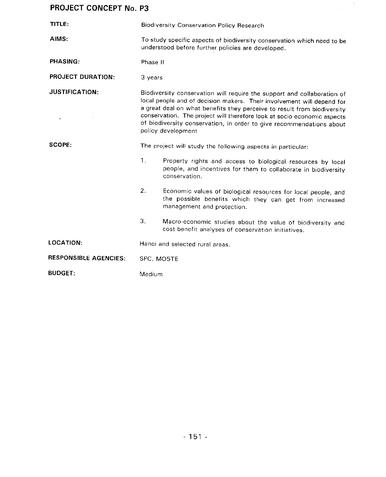| TITLE:                       |            | <b>Biodiversity Conservation Policy Research</b>                                                                                                                                                                                                                                                                                                                                                      |
|------------------------------|------------|-------------------------------------------------------------------------------------------------------------------------------------------------------------------------------------------------------------------------------------------------------------------------------------------------------------------------------------------------------------------------------------------------------|
| AIMS:                        |            | To study specific aspects of biodiversity conservation which need to be<br>understood before further policies are developed.                                                                                                                                                                                                                                                                          |
| <b>PHASING:</b>              | Phase II   |                                                                                                                                                                                                                                                                                                                                                                                                       |
| <b>PROJECT DURATION:</b>     | 3 years    |                                                                                                                                                                                                                                                                                                                                                                                                       |
| <b>JUSTIFICATION:</b>        |            | Biodiversity conservation will require the support and collaboration of<br>local people and of decision makers. Their involvement will depend for<br>a great deal on what benefits they perceive to result from biodiversity<br>conservation. The project will therefore look at socio-economic aspects<br>of biodiversity conservation, in order to give recommendations about<br>policy development |
| <b>SCOPE:</b>                |            | The project will study the following aspects in particular:                                                                                                                                                                                                                                                                                                                                           |
|                              | 1.         | Property rights and access to biological resources by local<br>people, and incentives for them to collaborate in biodiversity<br>conservation.                                                                                                                                                                                                                                                        |
|                              | 2.         | Economic values of biological resources for local people, and<br>the possible benefits which they can get from increased<br>management and protection.                                                                                                                                                                                                                                                |
|                              | 3.         | Macro-economic studies about the value of biodiversity and<br>cost-benefit analyses of conservation initiatives.                                                                                                                                                                                                                                                                                      |
| <b>LOCATION:</b>             |            | Hanoi and selected rural areas.                                                                                                                                                                                                                                                                                                                                                                       |
| <b>RESPONSIBLE AGENCIES:</b> | SPC, MOSTE |                                                                                                                                                                                                                                                                                                                                                                                                       |
| <b>BUDGET:</b>               | Medium     |                                                                                                                                                                                                                                                                                                                                                                                                       |

 $\sim 80$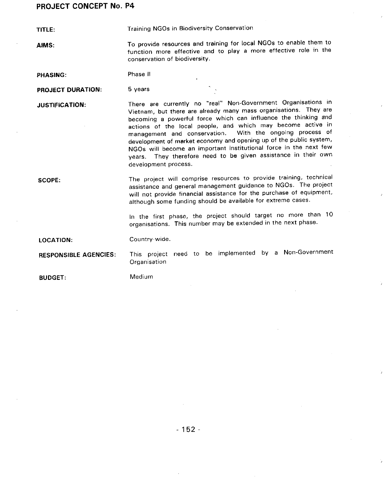TITLE: Training NGOs in Biodiversity Conservation

AIMS: To provide resources and training for local NGOs to enable them to function more effective and to play a more effective role in the conservation of biodiversity.

PHASING: Phase II

PROJECT DURATION: 5 years

JUSTIFICATION: There are currently no "real" Non-Government Organisations in<br>Vietnam, but there are already many mass organisations. They are becoming a powerful force which can influence the thinking and becoming a powerful force which can influence the thinking **a**nd actions of the local people, and which may become activities ma**na**g**e**m**en**t **a**nd co**nse**rvat**i**on. W**i**Th th**e on**go**in**g pr**ocess** of development of market economy and opening up of the public system**,** NGOs will become an important institutional force in the next few years. They therefore need to be given assistance in their own development process.

SCOPE: The project will comprise resources to provide training**,** technical assistance and general management guidance to NGOs. The project will not provide mightial assistance for the purchase of equipment, although some funding should be available for extreme cases.

> in the first phase**,** the project should target no more than 10 organisations. This number may be extended in the next phase.

LOCATION: Country-wide.

RESPONSIBLE AGENCIES: This project need to be implemented by a Non-Government Organisation

BUDGET: Medium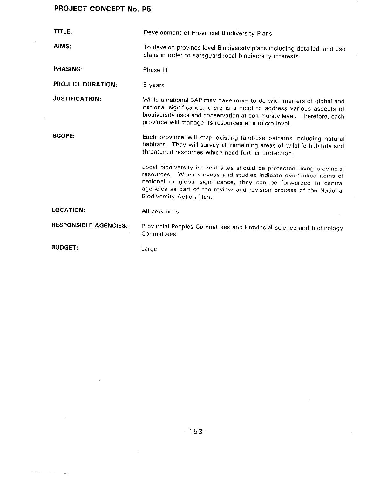$\mathcal{L}^{\text{max}}_{\text{max}}$  and  $\mathcal{L}^{\text{max}}_{\text{max}}$ 

 $\mathbb{Z}^2$  and  $\mathbb{Z}^2$  . The  $\mathbb{Z}^2$ 

| TITLE:                       | Development of Provincial Biodiversity Plans                                                                                                                                                                                                                                                                        |
|------------------------------|---------------------------------------------------------------------------------------------------------------------------------------------------------------------------------------------------------------------------------------------------------------------------------------------------------------------|
| AIMS:                        | To develop province level Biodiversity plans including detailed land-use<br>plans in order to safeguard local biodiversity interests.                                                                                                                                                                               |
| <b>PHASING:</b>              | Phase III                                                                                                                                                                                                                                                                                                           |
| <b>PROJECT DURATION:</b>     | 5 years                                                                                                                                                                                                                                                                                                             |
| <b>JUSTIFICATION:</b>        | While a national BAP may have more to do with matters of global and<br>national significance, there is a need to address various aspects of<br>biodiversity uses and conservation at community level. Therefore, each<br>province will manage its resources at a micro level.                                       |
| <b>SCOPE:</b>                | Each province will map existing land-use patterns including natural<br>habitats. They will survey all remaining areas of wildlife habitats and<br>threatened resources which need further protection.                                                                                                               |
|                              | Local biodiversity interest sites should be protected using provincial<br>resources. When surveys and studies indicate overlooked items of<br>national or global significance, they can be forwarded to central<br>agencies as part of the review and revision process of the National<br>Biodiversity Action Plan. |
| <b>LOCATION:</b>             | All provinces                                                                                                                                                                                                                                                                                                       |
| <b>RESPONSIBLE AGENCIES:</b> | Provincial Peoples Committees and Provincial science and technology<br>Committees                                                                                                                                                                                                                                   |
| <b>BUDGET:</b>               | Large                                                                                                                                                                                                                                                                                                               |

 $\ddot{\phantom{a}}$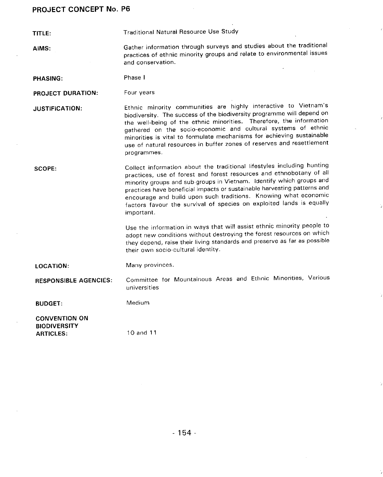TITLE: Traditional Nat**u**ral Resource Use Study AIMS: Gathe**r** i**n**fo**rm**atio**n** thr**o**ugh surv**e**ys a**n**d studi**e**s ab**o**ut th**e** traditi**on**al practices of ethnic minority groups and relate to environmental issues and conservation. PHASING: Phase I PROJECT DURATION: Four years JUSTIFICATION: Ethnic minority communities are highly interactive to Vietnam's<br>biodiversity. The success of the biodiversity programme will depend on the well-being of the ethnic minorities. Therefore, the information gathered on the socio-economic and cultural systems of ethnic minorities is vital to formulate mechanisms for achieving sustainable minorities is vital to formulate mechanisms use of natural resources in buffer zones of reserves and resettlement programmes. SCOPE: Collect information about the traditional lifestyles including hunting<br>practices, use of forest and forest resources and ethnobotany of all minority groups and sub-groups in Vietnam. Identify which groups and practices have beneficial impacts or sustainable harvesting patterns and encourage and build upon such traditions. Knowing what economic enc**o**ur**a**g**e** and b**u**ild **u**po**n** s**u**ch tr**ad**itions. Kno**w**ing **w**h**a**t e**c**on**o**m**ic** factors favour the survival of species on exploited important. Use the information in ways that will assist ethnic minority people to adopt new conditions without destroying the forest resources on which adopt new conditions without destroying the forest resources on a possible they depend**,** raise their living standards and preserve as far as possible their own socio-cultural identity. LO**C**A**T**IO**N**: Many provinces. RESPONSIBLE AGENCIES: Committee for Mountainous Areas and Ethnic Minorities, Various universities BUDGET: Medium CONVENTION ON **BIODIVERSITY** ARTICLES: 10 and 11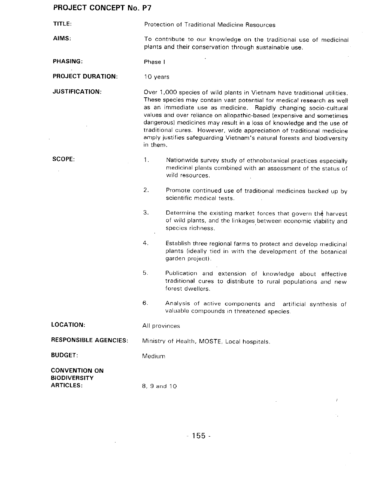| TITLE:                                                          | Protection of Traditional Medicine Resources                                                                                                                                                                                                                                                                                                                                                                                                                                                                                            |
|-----------------------------------------------------------------|-----------------------------------------------------------------------------------------------------------------------------------------------------------------------------------------------------------------------------------------------------------------------------------------------------------------------------------------------------------------------------------------------------------------------------------------------------------------------------------------------------------------------------------------|
| AIMS:                                                           | To contribute to our knowledge on the traditional use of medicinal<br>plants and their conservation through sustainable use.                                                                                                                                                                                                                                                                                                                                                                                                            |
| <b>PHASING:</b>                                                 | Phase I                                                                                                                                                                                                                                                                                                                                                                                                                                                                                                                                 |
| <b>PROJECT DURATION:</b>                                        | 10 years                                                                                                                                                                                                                                                                                                                                                                                                                                                                                                                                |
| <b>JUSTIFICATION:</b>                                           | Over 1,000 species of wild plants in Vietnam have traditional utilities.<br>These species may contain vast potential for medical research as well<br>as an immediate use as medicine. Rapidly changing socio-cultural<br>values and over reliance on allopathic-based (expensive and sometimes<br>dangerous) medicines may result in a loss of knowledge and the use of<br>traditional cures. However, wide appreciation of traditional medicine<br>amply justifies safeguarding Vietnam's natural forests and biodiversity<br>in them. |
| <b>SCOPE:</b>                                                   | 1.<br>Nationwide survey study of ethnobotanical practices especially<br>medicinal plants combined with an assessment of the status of<br>wild resources.                                                                                                                                                                                                                                                                                                                                                                                |
|                                                                 | 2.<br>Promote continued use of traditional medicines backed up by<br>scientific medical tests.                                                                                                                                                                                                                                                                                                                                                                                                                                          |
|                                                                 | 3.<br>Determine the existing market forces that govern the harvest<br>of wild plants, and the linkages between economic viability and<br>species richness.                                                                                                                                                                                                                                                                                                                                                                              |
|                                                                 | 4.<br>Establish three regional farms to protect and develop medicinal<br>plants (ideally tied in with the development of the botanical<br>garden project).                                                                                                                                                                                                                                                                                                                                                                              |
|                                                                 | 5.<br>Publication and extension of knowledge about effective<br>traditional cures to distribute to rural populations and new<br>forest dwellers.                                                                                                                                                                                                                                                                                                                                                                                        |
|                                                                 | 6.<br>Analysis of active components and artificial synthesis of<br>valuable compounds in threatened species.                                                                                                                                                                                                                                                                                                                                                                                                                            |
| <b>LOCATION:</b>                                                | All provinces                                                                                                                                                                                                                                                                                                                                                                                                                                                                                                                           |
| <b>RESPONSIBLE AGENCIES:</b>                                    | Ministry of Health, MOSTE, Local hospitals.                                                                                                                                                                                                                                                                                                                                                                                                                                                                                             |
| <b>BUDGET:</b>                                                  | Medium                                                                                                                                                                                                                                                                                                                                                                                                                                                                                                                                  |
| <b>CONVENTION ON</b><br><b>BIODIVERSITY</b><br><b>ARTICLES:</b> | 8, 9 and 10                                                                                                                                                                                                                                                                                                                                                                                                                                                                                                                             |

 $\hat{\mathcal{A}}$ 

 $\sim t^{-1}$ 

 $\mathcal{A}_\mu$ 

 $\mathcal{L}^{\text{max}}_{\text{max}}$ 

 $\sim 10^{-1}$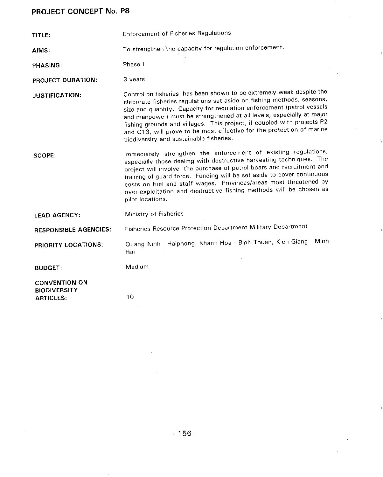| TITLE:                                                          | <b>Enforcement of Fisheries Regulations</b>                                                                                                                                                                                                                                                                                                                                                                                                                                                      |
|-----------------------------------------------------------------|--------------------------------------------------------------------------------------------------------------------------------------------------------------------------------------------------------------------------------------------------------------------------------------------------------------------------------------------------------------------------------------------------------------------------------------------------------------------------------------------------|
| AIMS:                                                           | To strengthen the capacity for regulation enforcement.                                                                                                                                                                                                                                                                                                                                                                                                                                           |
| PHASING:                                                        | Phase I                                                                                                                                                                                                                                                                                                                                                                                                                                                                                          |
| PROJECT DURATION:                                               | 3 years                                                                                                                                                                                                                                                                                                                                                                                                                                                                                          |
| <b>JUSTIFICATION:</b>                                           | Control on fisheries has been shown to be extremely weak despite the<br>elaborate fisheries regulations set aside on fishing methods, seasons,<br>size and quantity. Capacity for regulation enforcement (patrol vessels<br>and manpower) must be strengthened at all levels, especially at major<br>fishing grounds and villages. This project, if coupled with projects P2<br>and C13, will prove to be most effective for the protection of marine<br>biodiversity and sustainable fisheries. |
| SCOPE:                                                          | Immediately strengthen the enforcement of existing regulations,<br>especially those dealing with destructive harvesting techniques. The<br>project will involve the purchase of patrol boats and recruitment and<br>training of guard force. Funding will be set aside to cover continuous<br>costs on fuel and staff wages. Provinces/areas most threatened by<br>over-exploitation and destructive fishing methods will be chosen as<br>pilot locations.                                       |
| <b>LEAD AGENCY:</b>                                             | Ministry of Fisheries                                                                                                                                                                                                                                                                                                                                                                                                                                                                            |
| <b>RESPONSIBLE AGENCIES:</b>                                    | Fisheries Resource Protection Department Military Department                                                                                                                                                                                                                                                                                                                                                                                                                                     |
| PRIORITY LOCATIONS:                                             | Quang Ninh - Haiphong, Khanh Hoa - Binh Thuan, Kien Giang - Minh<br>Hai                                                                                                                                                                                                                                                                                                                                                                                                                          |
| <b>BUDGET:</b>                                                  | Medium                                                                                                                                                                                                                                                                                                                                                                                                                                                                                           |
| <b>CONVENTION ON</b><br><b>BIODIVERSITY</b><br><b>ARTICLES:</b> | 10                                                                                                                                                                                                                                                                                                                                                                                                                                                                                               |

 $\sim$ 

ÿ

ÿ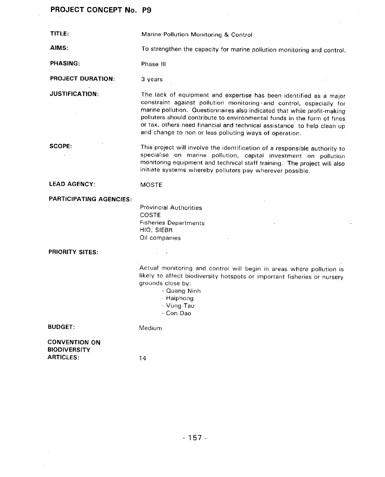| TITLE:                                                          | Marine Pollution Monitoring & Control                                                                                                                                                                                                                                                                                                                                                                                                 |
|-----------------------------------------------------------------|---------------------------------------------------------------------------------------------------------------------------------------------------------------------------------------------------------------------------------------------------------------------------------------------------------------------------------------------------------------------------------------------------------------------------------------|
| AIMS:                                                           | To strengthen the capacity for marine pollution monitoring and control.                                                                                                                                                                                                                                                                                                                                                               |
| <b>PHASING:</b>                                                 | Phase III                                                                                                                                                                                                                                                                                                                                                                                                                             |
| <b>PROJECT DURATION:</b>                                        | 3 years                                                                                                                                                                                                                                                                                                                                                                                                                               |
| <b>JUSTIFICATION:</b><br>$\sim$                                 | The lack of equipment and expertise has been identified as a major<br>constraint against pollution monitoring and control, especially for<br>marine pollution. Questionnaires also indicated that while profit-making<br>polluters should contribute to environmental funds in the form of fines<br>or tax, others need financial and technical assistance to help clean up<br>and change to non or less polluting ways of operation. |
| <b>SCOPE:</b>                                                   | This project will involve the identification of a responsible authority to<br>specialise on marine pollution, capital investment on pollution<br>monitoring equipment and technical staff training. The project will also<br>initiate systems whereby polluters pay wherever possible.                                                                                                                                                |
| <b>LEAD AGENCY:</b>                                             | <b>MOSTE</b>                                                                                                                                                                                                                                                                                                                                                                                                                          |
| <b>PARTICIPATING AGENCIES:</b>                                  | <b>Provincial Authorities</b><br><b>COSTE</b><br><b>Fisheries Departments</b><br>HIO, SIEBR<br>Oil companies                                                                                                                                                                                                                                                                                                                          |
| <b>PRIORITY SITES:</b>                                          | <b>Ford Ford Control</b><br>Actual monitoring and control will begin in areas where pollution is<br>likely to affect biodiversity hotspots or important fisheries or nursery<br>grounds close by:<br>- Quang Ninh<br>- Haiphong<br>- Vung Tau<br>- Con Dao                                                                                                                                                                            |
| <b>BUDGET:</b>                                                  | Medium                                                                                                                                                                                                                                                                                                                                                                                                                                |
| <b>CONVENTION ON</b><br><b>BIODIVERSITY</b><br><b>ARTICLES:</b> | 14                                                                                                                                                                                                                                                                                                                                                                                                                                    |

 $\sim$ 

 $\bar{\Delta}$ 

 $\sim 10^{-1}$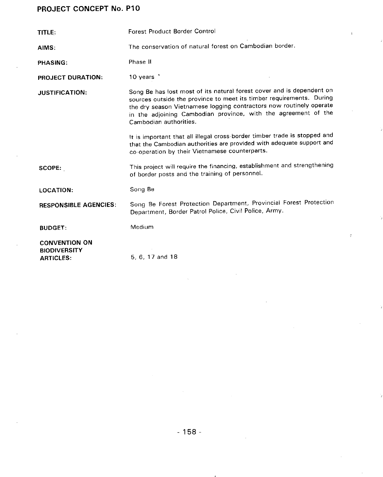| TITLE:                                                          | Forest Product Border Control                                                                                                                                                                                                                                                                                    |
|-----------------------------------------------------------------|------------------------------------------------------------------------------------------------------------------------------------------------------------------------------------------------------------------------------------------------------------------------------------------------------------------|
| AIMS:                                                           | The conservation of natural forest on Cambodian border.                                                                                                                                                                                                                                                          |
| PHASING:                                                        | Phase II                                                                                                                                                                                                                                                                                                         |
| PROJECT DURATION:                                               | 10 years *                                                                                                                                                                                                                                                                                                       |
| <b>JUSTIFICATION:</b>                                           | Song Be has lost most of its natural forest cover and is dependent on<br>sources outside the province to meet its timber requirements. During<br>the dry season Vietnamese logging contractors now routinely operate<br>in the adjoining Cambodian province, with the agreement of the<br>Cambodian authorities. |
|                                                                 | It is important that all illegal cross-border timber trade is stopped and<br>that the Cambodian authorities are provided with adequate support and<br>co-operation by their Vietnamese counterparts.                                                                                                             |
| <b>SCOPE:</b>                                                   | This project will require the financing, establishment and strengthening<br>of border posts and the training of personnel.                                                                                                                                                                                       |
| <b>LOCATION:</b>                                                | Song Be                                                                                                                                                                                                                                                                                                          |
| <b>RESPONSIBLE AGENCIES:</b>                                    | Song Be Forest Protection Department, Provincial Forest Protection<br>Department, Border Patrol Police, Civil Police, Army.                                                                                                                                                                                      |
| <b>BUDGET:</b>                                                  | Medium                                                                                                                                                                                                                                                                                                           |
| <b>CONVENTION ON</b><br><b>BIODIVERSITY</b><br><b>ARTICLES:</b> | 5, 6, 17 and 18                                                                                                                                                                                                                                                                                                  |

 $\hat{\xi}$ 

 $\tilde{\epsilon}$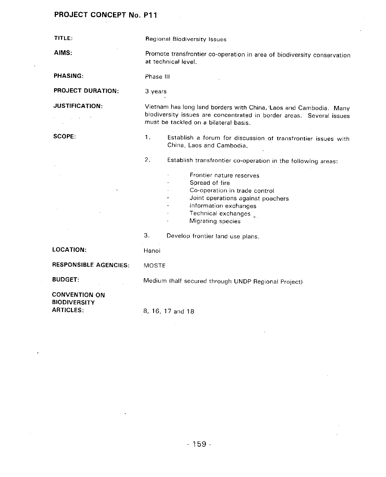$\mathcal{A}^{\text{max}}$ 

 $\bar{z}$ 

 $\bar{z}$ 

| TITLE:                                                          |              | <b>Regional Biodiversity Issues</b>                                                                                                                                                               |
|-----------------------------------------------------------------|--------------|---------------------------------------------------------------------------------------------------------------------------------------------------------------------------------------------------|
| AIMS:                                                           |              | Promote transfrontier co-operation in area of biodiversity conservation<br>at technical level.                                                                                                    |
| <b>PHASING:</b>                                                 | Phase III    |                                                                                                                                                                                                   |
| <b>PROJECT DURATION:</b>                                        | 3 years      |                                                                                                                                                                                                   |
| <b>JUSTIFICATION:</b>                                           |              | Vietnam has long land borders with China, Laos and Cambodia. Many<br>biodiversity issues are concentrated in border areas. Several issues<br>must be tackled on a bilateral basis.                |
| SCOPE:                                                          | 1.           | Establish a forum for discussion of transfrontier issues with<br>China, Laos and Cambodia.                                                                                                        |
|                                                                 | 2.           | Establish transfrontier co-operation in the following areas:                                                                                                                                      |
|                                                                 |              | Frontier nature reserves<br>Spread of fire<br>Co-operation in trade control<br>Joint operations against poachers<br>Information exchanges<br>Technical exchanges reservation<br>Migrating species |
|                                                                 | 3.           | Develop frontier land-use plans.                                                                                                                                                                  |
| <b>LOCATION:</b>                                                | Hanoi        |                                                                                                                                                                                                   |
| <b>RESPONSIBLE AGENCIES:</b>                                    | <b>MOSTE</b> |                                                                                                                                                                                                   |
| <b>BUDGET:</b>                                                  |              | Medium (half secured through UNDP Regional Project)                                                                                                                                               |
| <b>CONVENTION ON</b><br><b>BIODIVERSITY</b><br><b>ARTICLES:</b> |              | 8, 16, 17 and 18                                                                                                                                                                                  |

 $\sim 100$  km s  $^{-1}$ 

 $\mathcal{L}^{\text{max}}_{\text{max}}$  , where  $\mathcal{L}^{\text{max}}_{\text{max}}$ 

 $\hat{\mathcal{L}}_{\text{max}}$  and  $\hat{\mathcal{L}}_{\text{max}}$ 

 $\sim$ 

 $\sim$ 

 $\sim$   $\sim$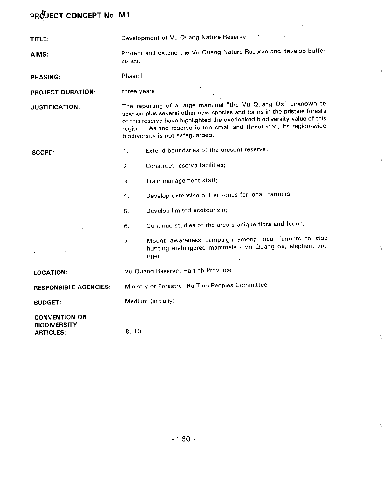| TITLE:                                                          | Development of Vu Quang Nature Reserve                                                                                                                                                                                                                                                                                            |  |
|-----------------------------------------------------------------|-----------------------------------------------------------------------------------------------------------------------------------------------------------------------------------------------------------------------------------------------------------------------------------------------------------------------------------|--|
| AIMS:                                                           | Protect and extend the Vu Quang Nature Reserve and develop buffer<br>zones.                                                                                                                                                                                                                                                       |  |
| <b>PHASING:</b>                                                 | Phase I                                                                                                                                                                                                                                                                                                                           |  |
| <b>PROJECT DURATION:</b>                                        | three years                                                                                                                                                                                                                                                                                                                       |  |
| <b>JUSTIFICATION:</b>                                           | The reporting of a large mammal "the Vu Quang Ox" unknown to<br>science plus several other new species and forms in the pristine forests<br>of this reserve have highlighted the overlooked biodiversity value of this<br>region. As the reserve is too small and threatened, its region-wide<br>biodiversity is not safeguarded. |  |
| <b>SCOPE:</b>                                                   | Extend boundaries of the present reserve;<br>1.                                                                                                                                                                                                                                                                                   |  |
|                                                                 | Construct reserve facilities;<br>2.                                                                                                                                                                                                                                                                                               |  |
|                                                                 | Train management staff;<br>З.                                                                                                                                                                                                                                                                                                     |  |
|                                                                 | Develop extensive buffer zones for local farmers;<br>4.                                                                                                                                                                                                                                                                           |  |
|                                                                 | Develop limited ecotourism;<br>5.                                                                                                                                                                                                                                                                                                 |  |
|                                                                 | Continue studies of the area's unique flora and fauna;<br>6.                                                                                                                                                                                                                                                                      |  |
|                                                                 | Mount awareness campaign among local farmers to stop<br>7.<br>hunting endangered mammals - Vu Quang ox, elephant and<br>tiger.                                                                                                                                                                                                    |  |
| <b>LOCATION:</b>                                                | Vu Quang Reserve, Ha tinh Province                                                                                                                                                                                                                                                                                                |  |
| <b>RESPONSIBLE AGENCIES:</b>                                    | Ministry of Forestry, Ha Tinh Peoples Committee                                                                                                                                                                                                                                                                                   |  |
| <b>BUDGET:</b>                                                  | Medium (initially)                                                                                                                                                                                                                                                                                                                |  |
| <b>CONVENTION ON</b><br><b>BIODIVERSITY</b><br><b>ARTICLES:</b> | 8, 10                                                                                                                                                                                                                                                                                                                             |  |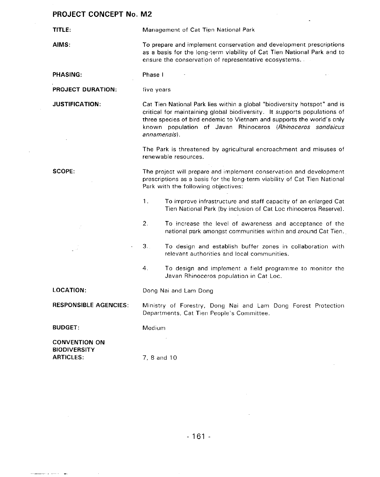$\mathcal{L}^{\text{max}}_{\text{max}}$ 

 $\sim 10^{-10}$ 

 $\mathcal{L}^{\text{max}}_{\text{max}}$  and  $\mathcal{L}^{\text{max}}_{\text{max}}$ 

 $\label{eq:3.1} \begin{split} \mathcal{L}_{\text{max}}(\mathbf{w}) = \mathcal{L}_{\text{max}}(\mathbf{w}) + \mathcal{L}_{\text{max}}(\mathbf{w}) + \mathcal{L}_{\text{max}}(\mathbf{w}) = \mathcal{L}_{\text{max}}(\mathbf{w}) + \mathcal{L}_{\text{max}}(\mathbf{w}) + \mathcal{L}_{\text{max}}(\mathbf{w}) + \mathcal{L}_{\text{max}}(\mathbf{w}) + \mathcal{L}_{\text{max}}(\mathbf{w}) + \mathcal{L}_{\text{max}}(\mathbf{w}) + \mathcal{L}_{\text{max}}(\mathbf{w}) + \mathcal{L}_{\text$ 

| TITLE:                                                          | Management of Cat Tien National Park                                                                                                                                                                                                                                                                          |
|-----------------------------------------------------------------|---------------------------------------------------------------------------------------------------------------------------------------------------------------------------------------------------------------------------------------------------------------------------------------------------------------|
| AIMS:                                                           | To prepare and implement conservation and development prescriptions<br>as a basis for the long-term viability of Cat Tien National Park and to<br>ensure the conservation of representative ecosystems.                                                                                                       |
| <b>PHASING:</b>                                                 | Phase I                                                                                                                                                                                                                                                                                                       |
| <b>PROJECT DURATION:</b>                                        | five years                                                                                                                                                                                                                                                                                                    |
| <b>JUSTIFICATION:</b>                                           | Cat Tien National Park lies within a global "biodiversity hotspot" and is<br>critical for maintaining global biodiversity. It supports populations of<br>three species of bird endemic to Vietnam and supports the world's only<br>known population of Javan Rhinoceros (Rhinoceros sondaicus<br>annamensis). |
|                                                                 | The Park is threatened by agricultural encroachment and misuses of<br>renewable resources.                                                                                                                                                                                                                    |
| SCOPE:                                                          | The project will prepare and implement conservation and development<br>prescriptions as a basis for the long-term viability of Cat Tien National<br>Park with the following objectives:                                                                                                                       |
|                                                                 | 1.<br>To improve infrastructure and staff capacity of an enlarged Cat<br>Tien National Park (by inclusion of Cat Loc rhinoceros Reserve).                                                                                                                                                                     |
|                                                                 | 2.<br>To increase the level of awareness and acceptance of the<br>national park amongst communities within and around Cat Tien.                                                                                                                                                                               |
|                                                                 | 3 <sub>1</sub><br>To design and establish buffer zones in collaboration with<br>relevant authorities and local communities.                                                                                                                                                                                   |
|                                                                 | 4.<br>To design and implement a field programme to monitor the<br>Javan Rhinoceros population in Cat Loc.                                                                                                                                                                                                     |
| LOCATION:                                                       | Dong Nai and Lam Dong                                                                                                                                                                                                                                                                                         |
| <b>RESPONSIBLE AGENCIES:</b>                                    | Ministry of Forestry, Dong Nai and Lam Dong Forest Protection<br>Departments, Cat Tien People's Committee.                                                                                                                                                                                                    |
| <b>BUDGET:</b>                                                  | Medium                                                                                                                                                                                                                                                                                                        |
| <b>CONVENTION ON</b><br><b>BIODIVERSITY</b><br><b>ARTICLES:</b> | 7, 8 and 10                                                                                                                                                                                                                                                                                                   |
|                                                                 |                                                                                                                                                                                                                                                                                                               |

 $\ddot{\phantom{a}}$ 

 $\mathcal{A}^{\mathcal{A}}$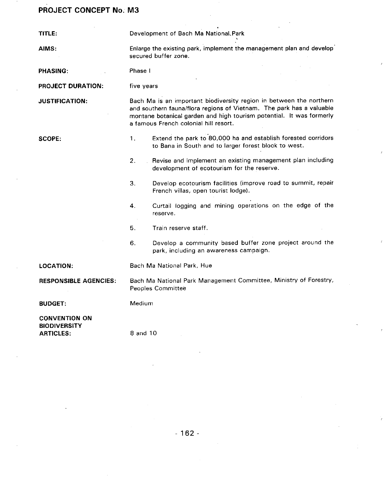| TITLE:                                                          |            | Development of Bach Ma National Park                                                                                                                                                                                                                         |
|-----------------------------------------------------------------|------------|--------------------------------------------------------------------------------------------------------------------------------------------------------------------------------------------------------------------------------------------------------------|
| AIMS:                                                           |            | Enlarge the existing park, implement the management plan and develop<br>secured buffer zone.                                                                                                                                                                 |
| <b>PHASING:</b>                                                 | Phase I    |                                                                                                                                                                                                                                                              |
| <b>PROJECT DURATION:</b>                                        | five years |                                                                                                                                                                                                                                                              |
| <b>JUSTIFICATION:</b>                                           |            | Bach Ma is an important biodiversity region in between the northern<br>and southern fauna/flora regions of Vietnam. The park has a valuable<br>montane botanical garden and high tourism potential. It was formerly<br>a famous French colonial hill resort. |
| <b>SCOPE:</b>                                                   | 1.         | Extend the park to 80,000 ha and establish forested corridors<br>to Bana in South and to larger forest block to west.                                                                                                                                        |
|                                                                 | 2.         | Revise and implement an existing management plan including<br>development of ecotourism for the reserve.                                                                                                                                                     |
|                                                                 | З.         | Develop ecotourism facilities (improve road to summit, repair<br>French villas, open tourist lodge).                                                                                                                                                         |
|                                                                 | 4.         | Curtail logging and mining operations on the edge of the<br>reserve.                                                                                                                                                                                         |
|                                                                 | 5.         | Train reserve staff.                                                                                                                                                                                                                                         |
|                                                                 | 6.         | Develop a community based buffer zone project around the<br>park, including an awareness campaign.                                                                                                                                                           |
| <b>LOCATION:</b>                                                |            | Bach Ma National Park, Hue                                                                                                                                                                                                                                   |
| <b>RESPONSIBLE AGENCIES:</b>                                    |            | Bach Ma National Park Management Committee, Ministry of Forestry,<br>Peoples Committee                                                                                                                                                                       |
| <b>BUDGET:</b>                                                  | Medium     |                                                                                                                                                                                                                                                              |
| <b>CONVENTION ON</b><br><b>BIODIVERSITY</b><br><b>ARTICLES:</b> | 8 and 10   |                                                                                                                                                                                                                                                              |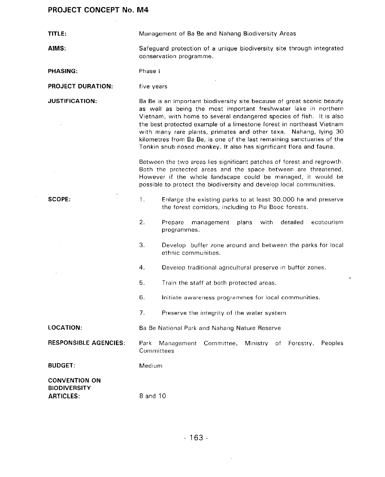ARTICLES: 8 and 10

TITLE: Management of Ba Be and Nahang Biodiversity Areas AIMS: Safeguard protection of a unique biodiversity site through integrated conservation programme. PHASING: Phase I PROJECT DURATION: five years **JUSTIFICATION:** Ba Be is an important biodiversity site because of great scenic beauty as well as being the most important freshwater lake in northern Vietnam**,** with home to several endangered species of fish. It is also the best protected example of a limestone forest in northeast Vietnam  $\mathcal{L}$ with many rare plants, primates and other taxa. Nahang, lying 30 kilometres from Ba Be**,** is one of the last remaining sanctuaries of the Tonkin snub-nosed monkey. It also has significant flora and fauna. Between the two areas lies significant patches of forest and regrowth. Both the protected areas and the space between are threatened. However if the whole landscape could be managed, it would be possible to protect the biodiversity and develop local communities. **SCOPE:** 1. Enlarge the existing parks to at least 30,000 ha and preserve the forest corridors**,** including to Pia Booc forests. 2. Prepare management plans with detailed ecotourism programmes. 3. Develop buffer zone around and between the parks for local ethnic communities. 4. Develop traditional agricultural preserve in buffer zones. 5. Train the staff at both protected areas. 6. Initiate awareness programmes for local communities. 7. Preserve the integrity of the water system LOCATION: Ba Be National Park and Nahang Nature Reserve RESPONSIBLE AGENCIES: Park Management Committee**,** Ministry of Forestry, Peoples Committees BUDGET: Medium CONVENTION ON **BIODIVERSITY**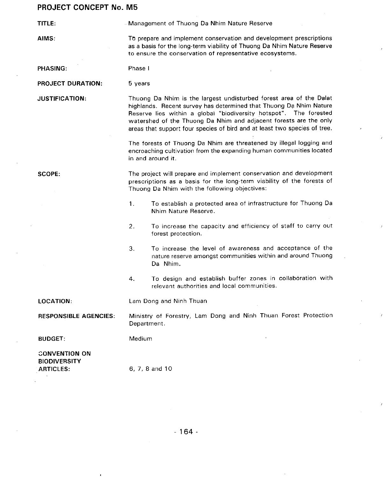TITLE: Management of Thuong Da Nhim Nature Reserve

AIMS: TO prepare and implement conservation and development prescriptions as a basis for the long**-**term viability of Thuong Da Nhim Nature Reserve to ensure the conservation of representative ecosystems.

PHASING: Phase I

#### PROJECT DURATION: 5 years

JUSTIFICATION: Thuong Da Nhim is the largest undisturbed forest area of the Dalat highlands. Recent survey has determined that Thuong Da Nhim Nature Reserve lies within **e** global "biodiversity hotspot**"**. The forested watershed of the Thuong Da Nhim and adjacent forests are the only are**a**s that support four species of bird and at least two species of tree.

> The forests of Thuong Da Nhim are threatened by illegal logging and encroaching cultivation from the expanding human communities located in and around it.

SCOPE: The project will prepare and implement conservation and development prescriptions as a basis for the long-term viability of the forests of Thuong Da Nhim with the following objectives:

- 1. To establish a protected area of infrastructure for Thuong Da Nhim Nature Reserve,
- 2. To increase the capacity end efficiency of staff to carry out forest protection.
- 3. To increase the level of awareness and acceptance of the nature reserve amongst communities within and around Thuong Da Nhim,
- 4. To design and establish buffer zones in collaboration with relevant authorities and local communities.

LOCATION: Lam Dong and Ninh Thuan

RESPONSIBLE AGENCIES: Ministry of Forestry**,** Lam Dong and Ninh Thuan Forest Protection Department.

BUDGET: Medium

CONVENTION ON **BIODIVERSITY** ARTICLES: 6, 7**,** 8 and 10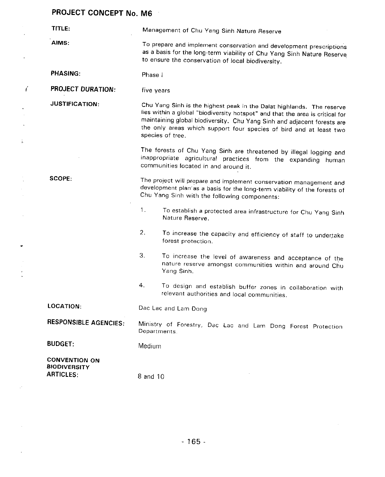J,

 $\vec{t}$ 

ţ.

 $\frac{1}{2}$ 

¥

 $\mathcal{L}^{\mathcal{L}}$ 

 $\hat{\mathcal{A}}$ 

 $\hat{\mathcal{L}}$ 

| TITLE:                                                          | Management of Chu Yang Sinh Nature Reserve                                                                                                                                                                                                                                                                                  |
|-----------------------------------------------------------------|-----------------------------------------------------------------------------------------------------------------------------------------------------------------------------------------------------------------------------------------------------------------------------------------------------------------------------|
| AIMS:                                                           | To prepare and implement conservation and development prescriptions<br>as a basis for the long-term viability of Chu Yang Sinh Nature Reserve<br>to ensure the conservation of local biodiversity.                                                                                                                          |
| PHASING:                                                        | Phase I                                                                                                                                                                                                                                                                                                                     |
| <b>PROJECT DURATION:</b>                                        | five years                                                                                                                                                                                                                                                                                                                  |
| <b>JUSTIFICATION:</b>                                           | Chu Yang Sinh is the highest peak in the Dalat highlands. The reserve<br>lies within a global "biodiversity hotspot" and that the area is critical for<br>maintaining global biodiversity. Chu Yang Sinh and adjacent forests are<br>the only areas which support four species of bird and at least two<br>species of tree. |
|                                                                 | The forests of Chu Yang Sinh are threatened by illegal logging and<br>inappropriate agricultural practices from the expanding human<br>communities located in and around it.                                                                                                                                                |
| <b>SCOPE:</b>                                                   | The project will prepare and implement conservation management and<br>development plan as a basis for the long-term viability of the forests of<br>Chu Yang Sinh with the following components:                                                                                                                             |
|                                                                 | 1.<br>To establish a protected area infrastructure for Chu Yang Sinh<br>Nature Reserve.                                                                                                                                                                                                                                     |
|                                                                 | 2.<br>To increase the capacity and efficiency of staff to undertake<br>forest protection.                                                                                                                                                                                                                                   |
|                                                                 | З.<br>To increase the level of awareness and acceptance of the<br>nature reserve amongst communities within and around Chu-<br>Yang Sinh.                                                                                                                                                                                   |
|                                                                 | 4.<br>To design and establish buffer zones in collaboration with<br>relevant authorities and local communities.                                                                                                                                                                                                             |
| LOCATION:                                                       | Dac Lac and Lam Dong                                                                                                                                                                                                                                                                                                        |
| <b>RESPONSIBLE AGENCIES:</b>                                    | Ministry of Forestry, Dac Lac and Lam Dong Forest Protection<br>Departments.                                                                                                                                                                                                                                                |
| <b>BUDGET:</b>                                                  | Medium                                                                                                                                                                                                                                                                                                                      |
| <b>CONVENTION ON</b><br><b>BIODIVERSITY</b><br><b>ARTICLES:</b> | 8 and 10                                                                                                                                                                                                                                                                                                                    |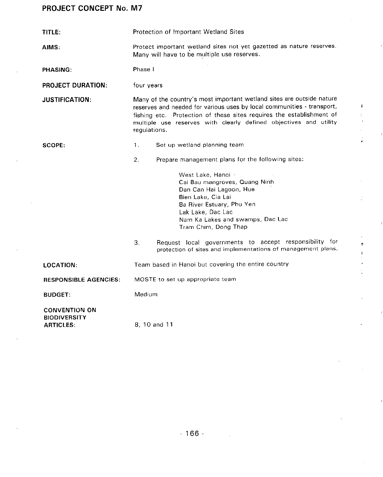| TITLE:                                                          | Protection of Important Wetland Sites                                                                                                                                                                                                                                                                        |
|-----------------------------------------------------------------|--------------------------------------------------------------------------------------------------------------------------------------------------------------------------------------------------------------------------------------------------------------------------------------------------------------|
| AIMS:                                                           | Protect important wetland sites not yet gazetted as nature reserves.<br>Many will have to be multiple use reserves.                                                                                                                                                                                          |
| <b>PHASING:</b>                                                 | Phase I                                                                                                                                                                                                                                                                                                      |
| <b>PROJECT DURATION:</b>                                        | four years                                                                                                                                                                                                                                                                                                   |
| <b>JUSTIFICATION:</b>                                           | Many of the country's most important wetland sites are outside nature<br>reserves and needed for various uses by local communities - transport,<br>fishing etc. Protection of these sites requires the establishment of<br>multiple use reserves with clearly defined objectives and utility<br>regulations. |
| <b>SCOPE:</b>                                                   | 1.<br>Set up wetland planning team                                                                                                                                                                                                                                                                           |
|                                                                 | 2.<br>Prepare management plans for the following sites:                                                                                                                                                                                                                                                      |
|                                                                 | West Lake, Hanoi<br>Cai Bau mangroves, Quang Ninh<br>Dan Can Hai Lagoon, Hue<br>Bien Lake, Cia Lai<br>Ba River Estuary, Phu Yen<br>Lak Lake, Dac Lac<br>Nam Ka Lakes and swamps, Dac Lac<br>Tram Chim, Dong Thap                                                                                             |
|                                                                 | Request local governments to accept responsibility for<br>3.<br>protection of sites and implementations of management plans.                                                                                                                                                                                 |
| <b>LOCATION:</b>                                                | Team based in Hanoi but covering the entire country                                                                                                                                                                                                                                                          |
| <b>RESPONSIBLE AGENCIES:</b>                                    | MOSTE to set up appropriate team                                                                                                                                                                                                                                                                             |
| <b>BUDGET:</b>                                                  | Medium                                                                                                                                                                                                                                                                                                       |
| <b>CONVENTION ON</b><br><b>BIODIVERSITY</b><br><b>ARTICLES:</b> | 8, 10 and 11                                                                                                                                                                                                                                                                                                 |

 $\pmb{i}$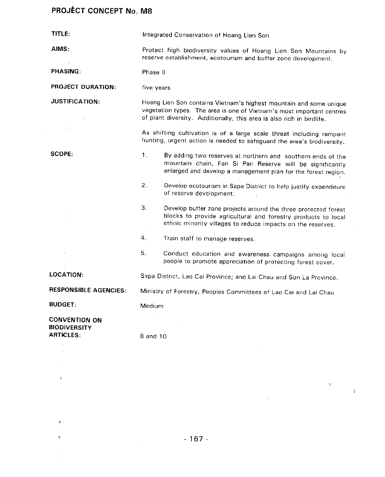$\sim$  $\frac{\partial}{\partial t}$ 

 $\frac{1}{2}$ 

| TITLE:                                                          | Integrated Conservation of Hoang Lien Son                                                                                                                                                                            |
|-----------------------------------------------------------------|----------------------------------------------------------------------------------------------------------------------------------------------------------------------------------------------------------------------|
| AIMS:                                                           | Protect high biodiversity values of Hoang Lien Son Mountains by<br>reserve establishment, ecotourism and buffer zone development.                                                                                    |
| <b>PHASING:</b>                                                 | Phase II                                                                                                                                                                                                             |
| <b>PROJECT DURATION:</b>                                        | five years                                                                                                                                                                                                           |
| <b>JUSTIFICATION:</b>                                           | Hoang Lien Son contains Vietnam's highest mountain and some unique<br>vegetation types. The area is one of Vietnam's most important centres<br>of plant diversity. Additionally, this area is also rich in birdlife. |
|                                                                 | As shifting cultivation is of a large scale threat including rampant<br>hunting, urgent action is needed to safeguard the area's biodiversity.                                                                       |
| SCOPE:                                                          | 1.<br>By adding two reserves at northern and southern ends of the<br>mountain chain, Fan Si Pan Reserve will be significantly<br>enlarged and develop a management plan for the forest region.                       |
|                                                                 | 2.<br>Develop ecotourism in Sapa District to help justify expenditure<br>of reserve development.                                                                                                                     |
|                                                                 | 3.<br>Develop buffer zone projects around the three protected forest<br>blocks to provide agricultural and forestry products to local<br>ethnic minority villages to reduce impacts on the reserves.                 |
|                                                                 | 4.<br>Train staff to manage reserves.                                                                                                                                                                                |
|                                                                 | 5.<br>Conduct education and awareness campaigns among local<br>people to promote appreciation of protecting forest cover.                                                                                            |
| LOCATION:                                                       | Sapa District, Lao Cai Province; and Lai Chau and Son La Province.                                                                                                                                                   |
| <b>RESPONSIBLE AGENCIES:</b>                                    | Ministry of Forestry, Peoples Committees of Lao Cai and Lai Chau                                                                                                                                                     |
| <b>BUDGET:</b>                                                  | Medium                                                                                                                                                                                                               |
| <b>CONVENTION ON</b><br><b>BIODIVERSITY</b><br><b>ARTICLES:</b> | 8 and 10                                                                                                                                                                                                             |

 $\mathbb{Z}$ 

 $\beta^{\pm}$ 

 $\mathcal{L}_{\mathcal{A}}$ 

 $\bar{1}$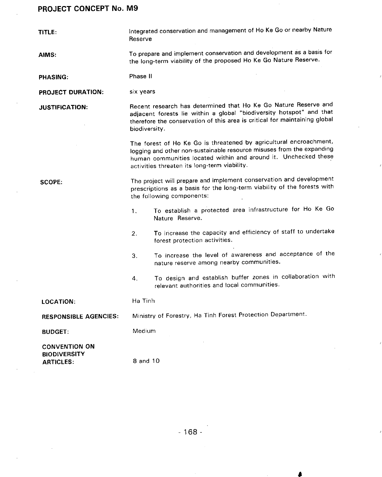TITLE: integrated conservation and management of Ho Ke Go or nearby Nature Reserve

AIMS: To prepare and implement conservation and development as a basis for the long**-**term viability of the proposed Ho Ke Go Nature Reserve.

PHASI**NG**: Ph**as**e Il

PROJECT DURATION: six years

JUSTIFICATION: Recent research has determined that Ho Ke Go Nature Reserve and adjacent forests lie within a global "biodiversity hotspot" and that therefore the conservation of this area is critical for maintaining global biodiversity.

> The forest of Ho Ke Go is threatened by agricultural encroachment, logging and other non**-**sustainable resource misuses from the expanding human communities located within and around it. Unchecked these activities threaten its long**-**term viability,

SCOPE: The project will prepare and implement conservation and development prescriptions as a basis for the long**-**term viability of the forests with the following components:

- 1, To **es**tablish **a** prot**ec**t**e**d **ar**e**a** inf**r**astru**c**tu**re** f**or** H**o** Ke G**o** Nature Reserve.
- 2. To increase the capacity and efficiency of staff to undertake forest protection activities.
- 3. To increase the level of awareness end acceptance of the nature reserve among nearby communities.

4. To design and establish buffer zones in collaboration with relevant authorities and local communities.

LOCATION: Ha Tinh

RESPONSIBLE AGENCIES: Ministry of Forestry**,** Ha Tinh Forest Protection Department.

BUDGET: Medium

CONVENTION O**N BIODIVERSITY** ARTICLES: 8 and 10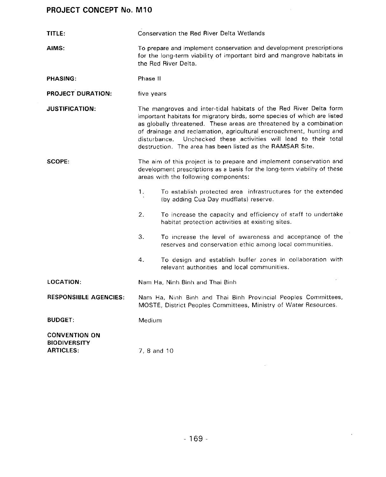| TITLE:                                                          | <b>Conservation the Red River Delta Wetlands</b>                                                                                                                                                                                                                                                                                                                                                                                 |
|-----------------------------------------------------------------|----------------------------------------------------------------------------------------------------------------------------------------------------------------------------------------------------------------------------------------------------------------------------------------------------------------------------------------------------------------------------------------------------------------------------------|
| AIMS:                                                           | To prepare and implement conservation and development prescriptions<br>for the long-term viability of important bird and mangrove habitats in<br>the Red River Delta.                                                                                                                                                                                                                                                            |
| PHASING:                                                        | Phase II                                                                                                                                                                                                                                                                                                                                                                                                                         |
| <b>PROJECT DURATION:</b>                                        | five years                                                                                                                                                                                                                                                                                                                                                                                                                       |
| <b>JUSTIFICATION:</b>                                           | The mangroves and inter-tidal habitats of the Red River Delta form<br>important habitats for migratory birds, some species of which are listed<br>as globally threatened. These areas are threatened by a combination<br>of drainage and reclamation, agricultural encroachment, hunting and<br>Unchecked these activities will lead to their total<br>disturbance.<br>destruction. The area has been listed as the RAMSAR Site. |
| SCOPE:                                                          | The aim of this project is to prepare and implement conservation and<br>development prescriptions as a basis for the long-term viability of these<br>areas with the following components:                                                                                                                                                                                                                                        |
|                                                                 | To establish protected area infrastructures for the extended<br>1.<br>(by adding Cua Day mudflats) reserve.                                                                                                                                                                                                                                                                                                                      |
|                                                                 | 2.<br>To increase the capacity and efficiency of staff to undertake<br>habitat protection activities at existing sites.                                                                                                                                                                                                                                                                                                          |
|                                                                 | 3.<br>To increase the level of awareness and acceptance of the<br>reserves and conservation ethic among local communities.                                                                                                                                                                                                                                                                                                       |
|                                                                 | 4.<br>To design and establish buffer zones in collaboration with<br>relevant authorities and local communities.                                                                                                                                                                                                                                                                                                                  |
| <b>LOCATION:</b>                                                | Nam Ha, Ninh Binh and Thai Binh                                                                                                                                                                                                                                                                                                                                                                                                  |
| <b>RESPONSIBLE AGENCIES:</b>                                    | Nam Ha, Ninh Binh and Thai Binh Provincial Peoples Committees,<br>MOSTE, District Peoples Committees, Ministry of Water Resources.                                                                                                                                                                                                                                                                                               |
| <b>BUDGET:</b>                                                  | Medium                                                                                                                                                                                                                                                                                                                                                                                                                           |
| <b>CONVENTION ON</b><br><b>BIODIVERSITY</b><br><b>ARTICLES:</b> | 7.8 and 10                                                                                                                                                                                                                                                                                                                                                                                                                       |

 $\sim 10^6$ 

 $\label{eq:2.1} \mathcal{L}(\mathcal{L}^{\mathcal{L}}_{\mathcal{L}}(\mathcal{L}^{\mathcal{L}}_{\mathcal{L}})) = \mathcal{L}(\mathcal{L}^{\mathcal{L}}_{\mathcal{L}}(\mathcal{L}^{\mathcal{L}}_{\mathcal{L}})) = \mathcal{L}(\mathcal{L}^{\mathcal{L}}_{\mathcal{L}}(\mathcal{L}^{\mathcal{L}}_{\mathcal{L}}))$ 

 $\sim 10^{11}$  km s  $^{-1}$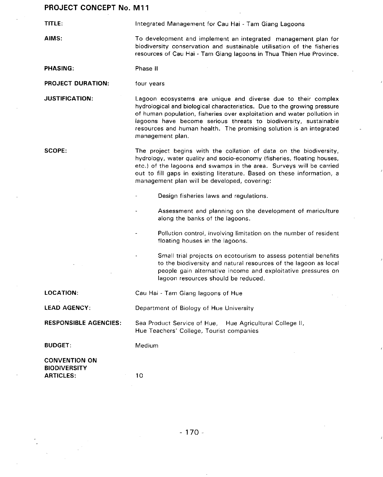**T**ITLE: Integrated Management for Cau Hal **-** Tam Giang Lagoons

AIMS: To development and implement an integrated management plan for

PHASING: Phase II

PROJECT DURATION: four years

JUSTIFICATION: Lagoon ecosystems are unique and diverse due to their complex hydrological and biological characteristics. Due to the growing pressure of human population, fisheries over exploitation and water pollution in lagoons have become serious threats to biodiversity**,** sustainable resources and human health. The promising solution is an integrated management plan.

biodiversity conservation and sustainable utilisation of the fisheries resources of Cau Hal **-** Tam Giang lagoons in Thua Thien Hue Province.

SCOPE: The project begins with the collation of data on the biodiversity, hydrology, water quality and socio-economy (fisheries**,** floating houses**,** etc.) of the lagoons and swamps in the area. Surveys will be carried out to fill gaps in existing literature. Based on these information**,** a management plan will be developed**,** covering:

Design fisheries laws and regulations.

Assessment and planning on the development of mariculture along the banks of the lagoons.

Pollution control, involving limitation on the number of resident floating houses in the lagoons.

Small trial projects on ecotourism to assess potential benefits to the biodiversity and natural resources of the lagoon as local people gain alternative income and exploitative pressures on lagoon resources should be reduced.

LOCATION: Cau Hai - Tam Giang lagoons of Hue

LEAD AGENCY: Department of Biology of Hue University

RESPONSIBLE AGENCIES: Sea Product Servi**c**e of Hue**,** Hue Agricultural College II**,** Hue Teachers' College**,** Tourist companies

BUDGET: Medium

CONVENTION ON **BIODIVERSITY** ARTICLES: 10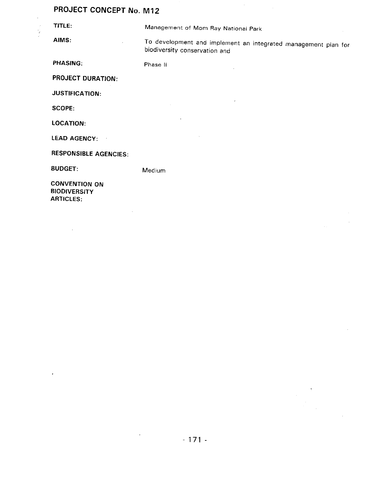TITLE: Management of Mom Ray National Park

AIMS:

To development and implement an integrated management plan for biodiversity conservation and

 $\bar{z}$ 

PHASING: Phase II

PROJECT DURATION:

JUSTIFICATION:

SCOPE:

LOCATION:

LEAD AGENCY:

RESPONSIBLE AGENCIES:

BUDGET: Medium

CONVENTION ON **BIODIVERSITY** ARTICLES: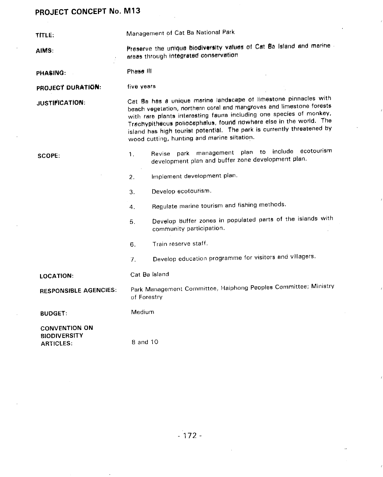| TITLE:                                                          | Management of Cat Ba National Park                                                                                                                                                                                                                                                                                                                                                                             |  |
|-----------------------------------------------------------------|----------------------------------------------------------------------------------------------------------------------------------------------------------------------------------------------------------------------------------------------------------------------------------------------------------------------------------------------------------------------------------------------------------------|--|
| AIMS:                                                           | Preserve the unique biodiversity values of Cat Ba Island and marine -<br>areas through integrated conservation                                                                                                                                                                                                                                                                                                 |  |
| PHASING:                                                        | Phase III                                                                                                                                                                                                                                                                                                                                                                                                      |  |
| PROJECT DURATION:                                               | five years                                                                                                                                                                                                                                                                                                                                                                                                     |  |
| <b>JUSTIFICATION:</b>                                           | Cat Ba has a unique marine landscape of limestone pinnacles with<br>beach vegetation, northern coral and mangroves and limestone forests<br>with rare plants interesting fauna including one species of monkey,<br>Trachypithecus poliocephalus, found nowhere else in the world. The<br>island has high tourist potential. The park is currently threatened by<br>wood cutting, hunting and marine siltation. |  |
| SCOPE:                                                          | park management plan to include ecotourism<br>Revise<br>$\mathbf{1}$ .<br>development plan and buffer zone development plan.                                                                                                                                                                                                                                                                                   |  |
|                                                                 | Implement development plan.<br>2.                                                                                                                                                                                                                                                                                                                                                                              |  |
|                                                                 | Develop ecotourism.<br>3.                                                                                                                                                                                                                                                                                                                                                                                      |  |
|                                                                 | Regulate marine tourism and fishing methods.<br>4.                                                                                                                                                                                                                                                                                                                                                             |  |
|                                                                 | Develop buffer zones in populated parts of the islands with<br>5.<br>community participation.                                                                                                                                                                                                                                                                                                                  |  |
|                                                                 | Train reserve staff.<br>6.                                                                                                                                                                                                                                                                                                                                                                                     |  |
|                                                                 | Develop education programme for visitors and villagers.<br>7.                                                                                                                                                                                                                                                                                                                                                  |  |
| <b>LOCATION:</b>                                                | Cat Ba Island                                                                                                                                                                                                                                                                                                                                                                                                  |  |
| <b>RESPONSIBLE AGENCIES:</b>                                    | Park Management Committee, Haiphong Peoples Committee; Ministry<br>of Forestry                                                                                                                                                                                                                                                                                                                                 |  |
| <b>BUDGET:</b>                                                  | Medium                                                                                                                                                                                                                                                                                                                                                                                                         |  |
| <b>CONVENTION ON</b><br><b>BIODIVERSITY</b><br><b>ARTICLES:</b> | 8 and 10                                                                                                                                                                                                                                                                                                                                                                                                       |  |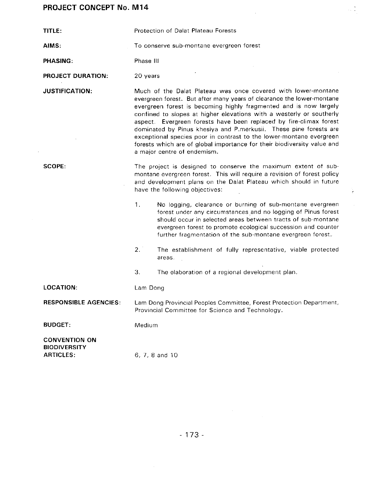$\mathcal{L}_{\mathcal{A}}$ 

| TITLE:                                                          | Protection of Dalat Plateau Forests                                                                                                                                                                                                                                                                                                                                                                                                                                                                                                                                                                             |
|-----------------------------------------------------------------|-----------------------------------------------------------------------------------------------------------------------------------------------------------------------------------------------------------------------------------------------------------------------------------------------------------------------------------------------------------------------------------------------------------------------------------------------------------------------------------------------------------------------------------------------------------------------------------------------------------------|
| AIMS:                                                           | To conserve sub-montane evergreen forest                                                                                                                                                                                                                                                                                                                                                                                                                                                                                                                                                                        |
| <b>PHASING:</b>                                                 | Phase III                                                                                                                                                                                                                                                                                                                                                                                                                                                                                                                                                                                                       |
|                                                                 |                                                                                                                                                                                                                                                                                                                                                                                                                                                                                                                                                                                                                 |
| <b>PROJECT DURATION:</b>                                        | 20 years                                                                                                                                                                                                                                                                                                                                                                                                                                                                                                                                                                                                        |
| <b>JUSTIFICATION:</b>                                           | Much of the Dalat Plateau was once covered with lower-montane<br>evergreen forest. But after many years of clearance the lower-montane<br>evergreen forest is becoming highly fragmented and is now largely<br>confined to slopes at higher elevations with a westerly or southerly<br>aspect. Evergreen forests have been replaced by fire-climax forest<br>dominated by Pinus khesiya and P.merkusii. These pine forests are<br>exceptional species poor in contrast to the lower-montane evergreen<br>forests which are of global importance for their biodiversity value and<br>a major centre of endemism. |
| SCOPE:                                                          | The project is designed to conserve the maximum extent of sub-<br>montane evergreen forest. This will require a revision of forest policy<br>and development plans on the Dalat Plateau which should in future<br>have the following objectives:                                                                                                                                                                                                                                                                                                                                                                |
|                                                                 | 1.<br>No logging, clearance or burning of sub-montane evergreen<br>forest under any circumstances and no logging of Pinus forest<br>should occur in selected areas between tracts of sub-montane<br>evergreen forest to promote ecological succession and counter<br>further fragmentation of the sub-montane evergreen forest.                                                                                                                                                                                                                                                                                 |
|                                                                 | 2.<br>The establishment of fully representative, viable protected<br>areas.                                                                                                                                                                                                                                                                                                                                                                                                                                                                                                                                     |
|                                                                 | 3.<br>The elaboration of a regional development plan.                                                                                                                                                                                                                                                                                                                                                                                                                                                                                                                                                           |
| <b>LOCATION:</b>                                                | Lam Dong                                                                                                                                                                                                                                                                                                                                                                                                                                                                                                                                                                                                        |
| <b>RESPONSIBLE AGENCIES:</b>                                    | Lam Dong Provincial Peoples Committee, Forest Protection Department,<br>Provincial Committee for Science and Technology.                                                                                                                                                                                                                                                                                                                                                                                                                                                                                        |
| <b>BUDGET:</b>                                                  | Medium                                                                                                                                                                                                                                                                                                                                                                                                                                                                                                                                                                                                          |
| <b>CONVENTION ON</b><br><b>BIODIVERSITY</b><br><b>ARTICLES:</b> | 6, 7, 8 and 10                                                                                                                                                                                                                                                                                                                                                                                                                                                                                                                                                                                                  |

 $\frac{1}{2}$ 

ķ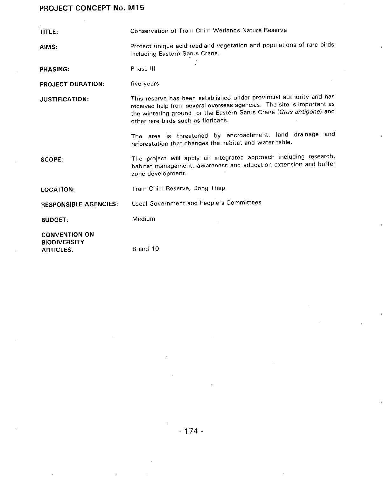| TITLE:                                                          | Conservation of Tram Chim Wetlands Nature Reserve                                                                                                                                                                                                             |
|-----------------------------------------------------------------|---------------------------------------------------------------------------------------------------------------------------------------------------------------------------------------------------------------------------------------------------------------|
| AIMS:                                                           | Protect unique acid reedland vegetation and populations of rare birds<br>including Eastern Sarus Crane.                                                                                                                                                       |
| <b>PHASING:</b>                                                 | Phase III                                                                                                                                                                                                                                                     |
| <b>PROJECT DURATION:</b>                                        | five years                                                                                                                                                                                                                                                    |
| <b>JUSTIFICATION:</b>                                           | This reserve has been established under provincial authority and has<br>received help from several overseas agencies. The site is important as<br>the wintering ground for the Eastern Sarus Crane (Grus antigone) and<br>other rare birds such as floricans. |
|                                                                 | The area is threatened by encroachment, land drainage and<br>reforestation that changes the habitat and water table.                                                                                                                                          |
| SCOPE:                                                          | The project will apply an integrated approach including research,<br>habitat management, awareness and education extension and buffer<br>zone development.                                                                                                    |
| <b>LOCATION:</b>                                                | Tram Chim Reserve, Dong Thap                                                                                                                                                                                                                                  |
| <b>RESPONSIBLE AGENCIES:</b>                                    | Local Government and People's Committees                                                                                                                                                                                                                      |
| <b>BUDGET:</b>                                                  | Medium                                                                                                                                                                                                                                                        |
| <b>CONVENTION ON</b><br><b>BIODIVERSITY</b><br><b>ARTICLES:</b> | 8 and 10                                                                                                                                                                                                                                                      |

 $\hat{\boldsymbol{\beta}}$ 

 $\boldsymbol{\cdot}$